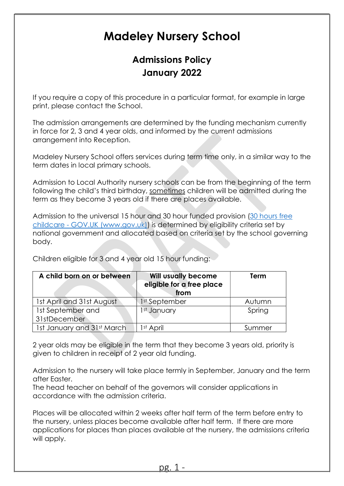# Madeley Nursery School

# Admissions Policy January 2022

If you require a copy of this procedure in a particular format, for example in large print, please contact the School.

The admission arrangements are determined by the funding mechanism currently in force for 2, 3 and 4 year olds, and informed by the current admissions arrangement into Reception.

Madeley Nursery School offers services during term time only, in a similar way to the term dates in local primary schools.

Admission to Local Authority nursery schools can be from the beginning of the term following the child's third birthday, sometimes children will be admitted during the term as they become 3 years old if there are places available.

Admission to the universal 15 hour and 30 hour funded provision (30 hours free childcare - GOV.UK (www.gov.uk)) is determined by eligibility criteria set by national government and allocated based on criteria set by the school governing body.

Children eligible for 3 and 4 year old 15 hour funding:

| A child born on or between | <b>Will usually become</b><br>eligible for a free place<br>from | Term   |
|----------------------------|-----------------------------------------------------------------|--------|
| 1st April and 31st August  | 1st September                                                   | Autumn |
| 1st September and          | 1st January                                                     | Spring |
| 31stDecember               |                                                                 |        |
| 1st January and 31st March | I <sup>st</sup> April                                           | Summer |

2 year olds may be eligible in the term that they become 3 years old, priority is given to children in receipt of 2 year old funding.

Admission to the nursery will take place termly in September, January and the term after Easter.

The head teacher on behalf of the governors will consider applications in accordance with the admission criteria.

Places will be allocated within 2 weeks after half term of the term before entry to the nursery, unless places become available after half term. If there are more applications for places than places available at the nursery, the admissions criteria will apply.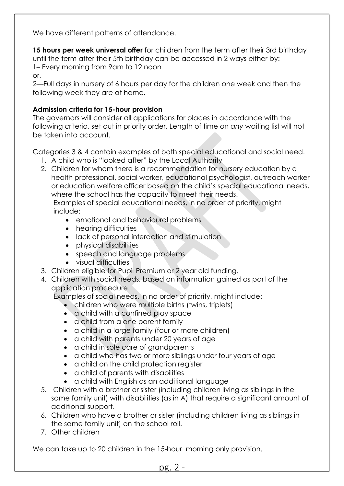We have different patterns of attendance.

15 hours per week universal offer for children from the term after their 3rd birthday until the term after their 5th birthday can be accessed in 2 ways either by: 1– Every morning from 9am to 12 noon

or,

2—Full days in nursery of 6 hours per day for the children one week and then the following week they are at home.

## Admission criteria for 15-hour provision

The governors will consider all applications for places in accordance with the following criteria, set out in priority order. Length of time on any waiting list will not be taken into account.

Categories 3 & 4 contain examples of both special educational and social need.

- 1. A child who is "looked after" by the Local Authority
- 2. Children for whom there is a recommendation for nursery education by a health professional, social worker, educational psychologist, outreach worker or education welfare officer based on the child's special educational needs, where the school has the capacity to meet their needs.

Examples of special educational needs, in no order of priority, might include:

- emotional and behavioural problems
- hearing difficulties
- lack of personal interaction and stimulation
- physical disabilities
- speech and language problems
- visual difficulties
- 3. Children eligible for Pupil Premium or 2 year old funding.
- 4. Children with social needs, based on information gained as part of the application procedure.

Examples of social needs, in no order of priority, might include:

- children who were multiple births (twins, triplets)
- a child with a confined play space
- a child from a one parent family
- a child in a large family (four or more children)
- a child with parents under 20 years of age
- a child in sole care of grandparents
- a child who has two or more siblings under four years of age
- a child on the child protection reaister
- a child of parents with disabilities
- a child with English as an additional language
- 5. Children with a brother or sister (including children living as siblings in the same family unit) with disabilities (as in A) that require a significant amount of additional support.
- 6. Children who have a brother or sister (including children living as siblings in the same family unit) on the school roll.
- 7. Other children

We can take up to 20 children in the 15-hour morning only provision.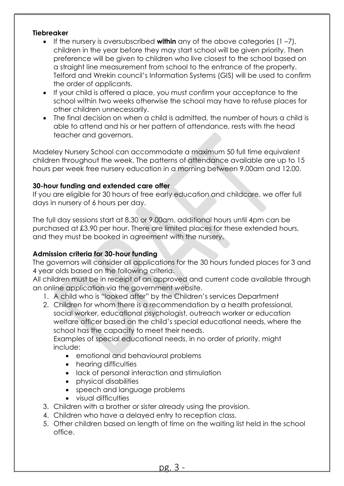#### **Tiebreaker**

- If the nursery is oversubscribed within any of the above categories  $(1 7)$ , children in the year before they may start school will be given priority. Then preference will be given to children who live closest to the school based on a straight line measurement from school to the entrance of the property. Telford and Wrekin council's Information Systems (GIS) will be used to confirm the order of applicants.
- If your child is offered a place, you must confirm your acceptance to the school within two weeks otherwise the school may have to refuse places for other children unnecessarily.
- The final decision on when a child is admitted, the number of hours a child is able to attend and his or her pattern of attendance, rests with the head teacher and governors.

Madeley Nursery School can accommodate a maximum 50 full time equivalent children throughout the week. The patterns of attendance available are up to 15 hours per week free nursery education in a morning between 9.00am and 12.00.

## 30-hour funding and extended care offer

If you are eligible for 30 hours of free early education and childcare, we offer full days in nursery of 6 hours per day.

The full day sessions start at 8.30 or 9.00am, additional hours until 4pm can be purchased at £3.90 per hour. There are limited places for these extended hours, and they must be booked in agreement with the nursery.

#### Admission criteria for 30-hour funding

The governors will consider all applications for the 30 hours funded places for 3 and 4 year olds based on the following criteria.

All children must be in receipt of an approved and current code available through an online application via the government website.

- 1. A child who is "looked after" by the Children's services Department
- 2. Children for whom there is a recommendation by a health professional, social worker, educational psychologist, outreach worker or education welfare officer based on the child's special educational needs, where the school has the capacity to meet their needs.

Examples of special educational needs, in no order of priority, might include:

- emotional and behavioural problems
- hearing difficulties
- lack of personal interaction and stimulation
- physical disabilities
- speech and language problems
- visual difficulties
- 3. Children with a brother or sister already using the provision.
- 4. Children who have a delayed entry to reception class.
- 5. Other children based on length of time on the waiting list held in the school office.